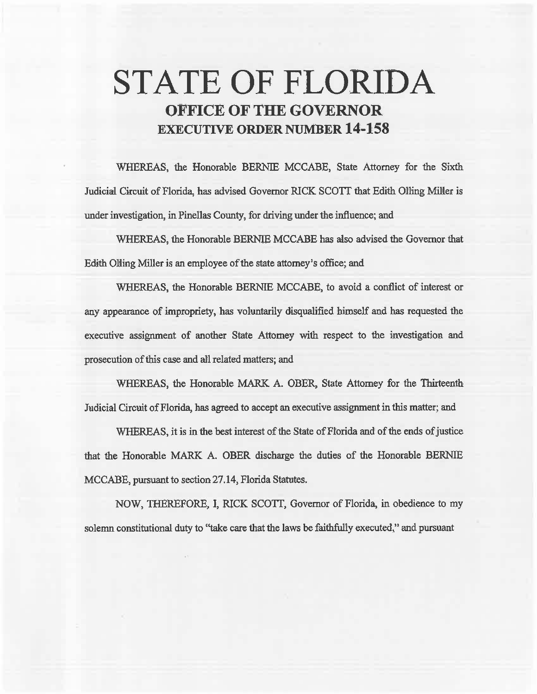# STATE OF FLORIDA OFFICE OF THE GOVERNOR EXECUTIVE ORDER NUMBER 14-158

WHEREAS, the Honorable BERNIE MCCABE, State Attorney for the Sixth Judicial Circuit of Florida, has advised Governor RICK SCOTI that Edith Olling Milter is under investigation, in Pinellas County, for driving under the influence; and

WHEREAS, the Honorable BERNIE MCCABE has also advised the Governor that Edith Oliing Miller is an employee of the state attorney's office; and

WHEREAS, the Honorable BERNIE MCCABE, to avoid a conflict of interest or any appearance of impropriety, has voluntarily disqualified himself and has requested the executive assignment of another State Attorney with respect to the investigation and prosecution of this case and ali related matters; and

WHEREAS, the Honorable MARK A. OBER, State Attorney for the Thirteenth Judicial Circuit of Florida, has agreed to accept an executive assignment in this matter; and

WHEREAS, it is in the best interest of the State of Florida and of the ends of justice that the Honorable MARK A. OBER discharge the duties of the Honorable BERNIE MCCABE, pursuant to section 27 .14, Florida Statutes.

NOW, THEREFORE, l, RICK SCOTT, Governor of Florida, in obedience to my solemn constitutional duty to "take care that the laws be faithfully executed," and pursuant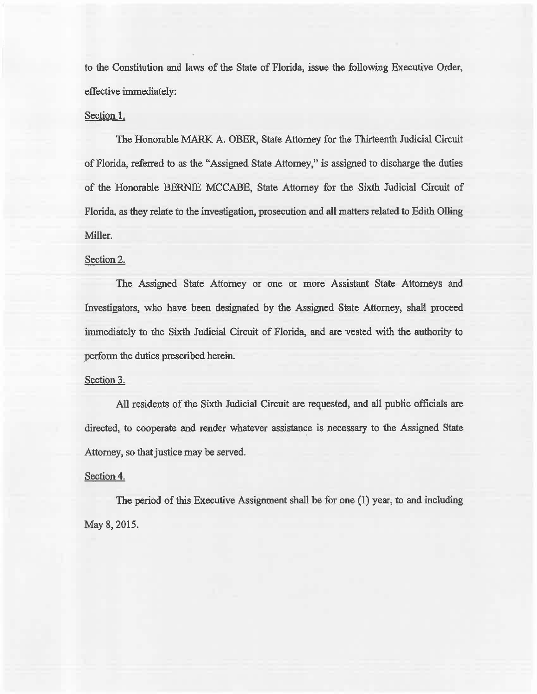to the Constitution and laws of the State of Florida, issue the following Executive Order, effective immediately:

## Section 1.

The Honorable MARK A. OBER, State Attorney for the Thirteenth Judicial Circuit of Florida, referred to as the "Assigned State Attorney/' is assigned to discharge the duties of the Honorable BERNIE MCCABE, State Attorney for the Sixth Judicial Circuit of Florida, as they relate to the investigation, prosecution and all matters related to Edith Olling Miller.

#### Section 2.

The Assigned State Attorney or one or more Assistant State Attorneys and Investigators, who have been designated by the Assigned State Attorney, shall proceed immediately to the Sixth Judicial Circuit of Florida, and are vested with the authority to perform the duties prescribed herein.

#### Section 3.

AU residents of the Sixth Judicial Circuit are requested, and all public officials are directed, to cooperate and render whatever assistance is necessary to the Assigned State Attorney, so that justice may be served.

### Section 4.

The period of this Executive Assignment shall be for one (1) year, to and including May 8, 2015.